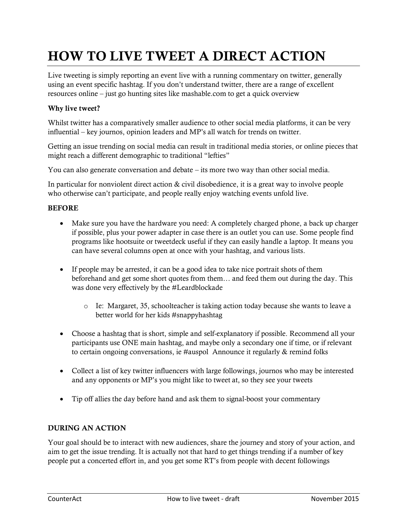# **HOW TO LIVE TWEET A DIRECT ACTION**

Live tweeting is simply reporting an event live with a running commentary on twitter, generally using an event specific hashtag. If you don't understand twitter, there are a range of excellent resources online – just go hunting sites like mashable.com to get a quick overview

### **Why live tweet?**

Whilst twitter has a comparatively smaller audience to other social media platforms, it can be very influential – key journos, opinion leaders and MP's all watch for trends on twitter.

Getting an issue trending on social media can result in traditional media stories, or online pieces that might reach a different demographic to traditional "lefties"

You can also generate conversation and debate – its more two way than other social media.

In particular for nonviolent direct action & civil disobedience, it is a great way to involve people who otherwise can't participate, and people really enjoy watching events unfold live.

#### **BEFORE**

- Make sure you have the hardware you need: A completely charged phone, a back up charger if possible, plus your power adapter in case there is an outlet you can use. Some people find programs like hootsuite or tweetdeck useful if they can easily handle a laptop. It means you can have several columns open at once with your hashtag, and various lists.
- If people may be arrested, it can be a good idea to take nice portrait shots of them beforehand and get some short quotes from them… and feed them out during the day. This was done very effectively by the #Leardblockade
	- o Ie: Margaret, 35, schoolteacher is taking action today because she wants to leave a better world for her kids #snappyhashtag
- Choose a hashtag that is short, simple and self-explanatory if possible. Recommend all your participants use ONE main hashtag, and maybe only a secondary one if time, or if relevant to certain ongoing conversations, ie #auspol Announce it regularly & remind folks
- Collect a list of key twitter influencers with large followings, journos who may be interested and any opponents or MP's you might like to tweet at, so they see your tweets
- Tip off allies the day before hand and ask them to signal-boost your commentary

### **DURING AN ACTION**

Your goal should be to interact with new audiences, share the journey and story of your action, and aim to get the issue trending. It is actually not that hard to get things trending if a number of key people put a concerted effort in, and you get some RT's from people with decent followings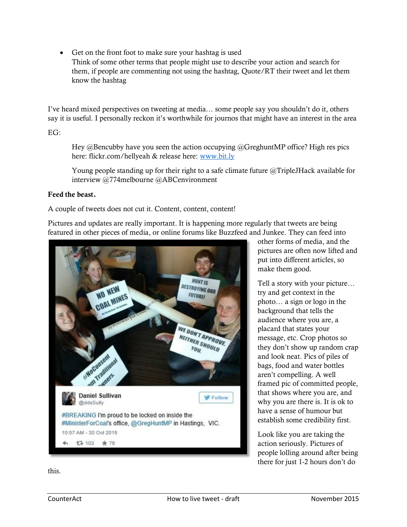• Get on the front foot to make sure your hashtag is used Think of some other terms that people might use to describe your action and search for them, if people are commenting not using the hashtag, Quote/RT their tweet and let them know the hashtag

I've heard mixed perspectives on tweeting at media… some people say you shouldn't do it, others say it is useful. I personally reckon it's worthwhile for journos that might have an interest in the area

 $EG<sup>+</sup>$ 

Hey @Bencubby have you seen the action occupying @GreghuntMP office? High res pics here: flickr.com/hellyeah & release here: [www.bit.ly](http://www.bit.ly/)

Young people standing up for their right to a safe climate future @TripleJHack available for interview @774melbourne @ABCenvironment

#### **Feed the beast.**

A couple of tweets does not cut it. Content, content, content!

Pictures and updates are really important. It is happening more regularly that tweets are being featured in other pieces of media, or online forums like Buzzfeed and Junkee. They can feed into



other forms of media, and the pictures are often now lifted and put into different articles, so make them good.

Tell a story with your picture… try and get context in the photo… a sign or logo in the background that tells the audience where you are, a placard that states your message, etc. Crop photos so they don't show up random crap and look neat. Pics of piles of bags, food and water bottles aren't compelling. A well framed pic of committed people, that shows where you are, and why you are there is. It is ok to have a sense of humour but establish some credibility first.

Look like you are taking the action seriously. Pictures of people lolling around after being there for just 1-2 hours don't do

this.